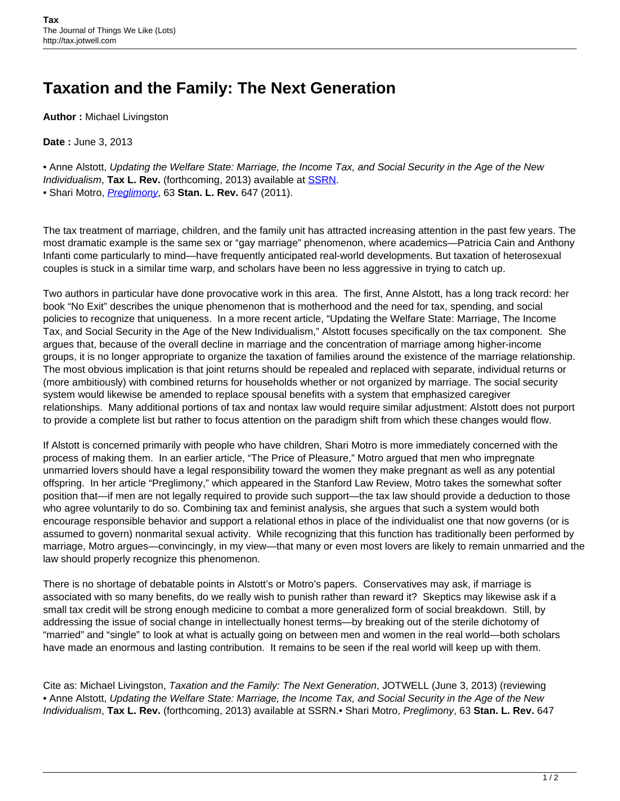## **Taxation and the Family: The Next Generation**

**Author :** Michael Livingston

**Date :** June 3, 2013

• Anne Alstott, Updating the Welfare State: Marriage, the Income Tax, and Social Security in the Age of the New Individualism, **Tax L. Rev.** (forthcoming, 2013) available at [SSRN](http://papers.ssrn.com/sol3/papers.cfm?abstract_id=2220322). • Shari Motro, [Preglimony](http://www.stanfordlawreview.org/sites/default/files/articles/Motro-63-Stan-L-Rev-647.pdf), 63 **Stan. L. Rev.** 647 (2011).

The tax treatment of marriage, children, and the family unit has attracted increasing attention in the past few years. The most dramatic example is the same sex or "gay marriage" phenomenon, where academics—Patricia Cain and Anthony Infanti come particularly to mind—have frequently anticipated real-world developments. But taxation of heterosexual couples is stuck in a similar time warp, and scholars have been no less aggressive in trying to catch up.

Two authors in particular have done provocative work in this area. The first, Anne Alstott, has a long track record: her book "No Exit" describes the unique phenomenon that is motherhood and the need for tax, spending, and social policies to recognize that uniqueness. In a more recent article, "Updating the Welfare State: Marriage, The Income Tax, and Social Security in the Age of the New Individualism," Alstott focuses specifically on the tax component. She argues that, because of the overall decline in marriage and the concentration of marriage among higher-income groups, it is no longer appropriate to organize the taxation of families around the existence of the marriage relationship. The most obvious implication is that joint returns should be repealed and replaced with separate, individual returns or (more ambitiously) with combined returns for households whether or not organized by marriage. The social security system would likewise be amended to replace spousal benefits with a system that emphasized caregiver relationships. Many additional portions of tax and nontax law would require similar adjustment: Alstott does not purport to provide a complete list but rather to focus attention on the paradigm shift from which these changes would flow.

If Alstott is concerned primarily with people who have children, Shari Motro is more immediately concerned with the process of making them. In an earlier article, "The Price of Pleasure," Motro argued that men who impregnate unmarried lovers should have a legal responsibility toward the women they make pregnant as well as any potential offspring. In her article "Preglimony," which appeared in the Stanford Law Review, Motro takes the somewhat softer position that—if men are not legally required to provide such support—the tax law should provide a deduction to those who agree voluntarily to do so. Combining tax and feminist analysis, she argues that such a system would both encourage responsible behavior and support a relational ethos in place of the individualist one that now governs (or is assumed to govern) nonmarital sexual activity. While recognizing that this function has traditionally been performed by marriage, Motro argues—convincingly, in my view—that many or even most lovers are likely to remain unmarried and the law should properly recognize this phenomenon.

There is no shortage of debatable points in Alstott's or Motro's papers. Conservatives may ask, if marriage is associated with so many benefits, do we really wish to punish rather than reward it? Skeptics may likewise ask if a small tax credit will be strong enough medicine to combat a more generalized form of social breakdown. Still, by addressing the issue of social change in intellectually honest terms—by breaking out of the sterile dichotomy of "married" and "single" to look at what is actually going on between men and women in the real world—both scholars have made an enormous and lasting contribution. It remains to be seen if the real world will keep up with them.

Cite as: Michael Livingston, Taxation and the Family: The Next Generation, JOTWELL (June 3, 2013) (reviewing • Anne Alstott, Updating the Welfare State: Marriage, the Income Tax, and Social Security in the Age of the New Individualism, **Tax L. Rev.** (forthcoming, 2013) available at SSRN.• Shari Motro, Preglimony, 63 **Stan. L. Rev.** 647